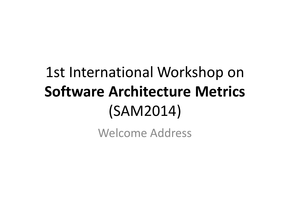# 1st International Workshop on **Software Architecture Metrics**  (SAM2014)

Welcome Address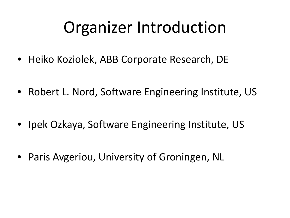# Organizer Introduction

- Heiko Koziolek, ABB Corporate Research, DE
- Robert L. Nord, Software Engineering Institute, US
- Ipek Ozkaya, Software Engineering Institute, US
- Paris Avgeriou, University of Groningen, NL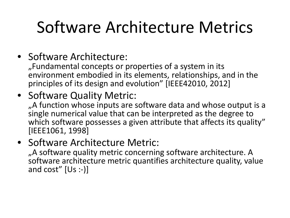# Software Architecture Metrics

#### • Software Architecture:

"Fundamental concepts or properties of a system in its environment embodied in its elements, relationships, and in the principles of its design and evolution" [IEEE42010, 2012]

#### • Software Quality Metric:

"A function whose inputs are software data and whose output is a single numerical value that can be interpreted as the degree to which software possesses a given attribute that affects its quality" [IEEE1061, 1998]

#### • Software Architecture Metric:

"A software quality metric concerning software architecture. A software architecture metric quantifies architecture quality, value and  $cost''$  [Us :-)]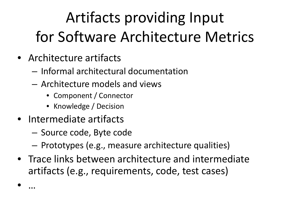# Artifacts providing Input for Software Architecture Metrics

- Architecture artifacts
	- Informal architectural documentation
	- Architecture models and views
		- Component / Connector
		- Knowledge / Decision
- Intermediate artifacts

• …

- Source code, Byte code
- Prototypes (e.g., measure architecture qualities)
- Trace links between architecture and intermediate artifacts (e.g., requirements, code, test cases)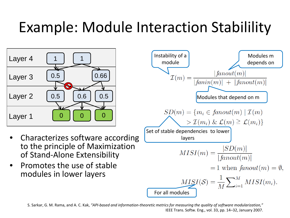## Example: Module Interaction Stabilility



- Characterizes software according to the principle of Maximization of Stand-Alone Extensibility
- Promotes the use of stable modules in lower layers



S. Sarkar, G. M. Rama, and A. C. Kak, *"API-based and information-theoretic metrics for measuring the quality of software modularization,"*  IEEE Trans. Softw. Eng., vol. 33, pp. 14–32, January 2007.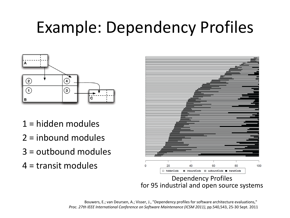# Example: Dependency Profiles



- 1 = hidden modules
- 2 = inbound modules
- 3 = outbound modules
- 4 = transit modules



Dependency Profiles for 95 industrial and open source systems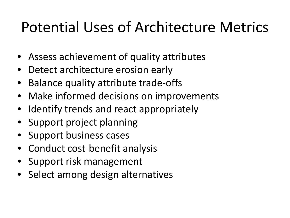### Potential Uses of Architecture Metrics

- Assess achievement of quality attributes
- Detect architecture erosion early
- Balance quality attribute trade-offs
- Make informed decisions on improvements
- Identify trends and react appropriately
- Support project planning
- Support business cases
- Conduct cost-benefit analysis
- Support risk management
- Select among design alternatives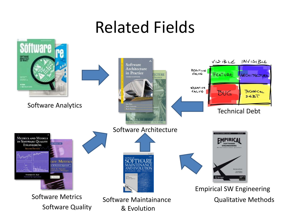## Related Fields

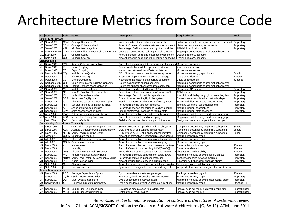### Architecture Metrics from Source Code

| #                            | <b>Source</b>                             | Abbr. Name  |                                               | <b>Description</b>                                       | <b>Required Input</b>                                           | Tool           |  |  |  |  |  |
|------------------------------|-------------------------------------------|-------------|-----------------------------------------------|----------------------------------------------------------|-----------------------------------------------------------------|----------------|--|--|--|--|--|
| <b>Similarity of Purpose</b> |                                           |             |                                               |                                                          |                                                                 |                |  |  |  |  |  |
| M7                           | Sarkar2007                                | <b>CDM</b>  | <b>Concept Domination Metric</b>              | Non-uniformity of the distribution of concepts           | List of concepts, frequency of occurrences per mod. Proprietary |                |  |  |  |  |  |
| M7                           | Sarkar2007                                | <b>CCM</b>  | Concept Coherency Metic                       | Amount of mutual information between mod./concept        | List of concepts, entropy for concepts                          | Proprietary    |  |  |  |  |  |
| M7                           | Sarkar2007                                | APIU        | <b>API Function Usage Index</b>               | Percentage of API functions used by other modules        | API definition, # calls to API                                  | Proprietary    |  |  |  |  |  |
| M <sub>6</sub>               | Sant'anna2007                             | <b>CDAC</b> | Concern Diffusion over Arch. Components       | Counts the components realizing an arch. concern         | Mapping of components to architectural concerns                 |                |  |  |  |  |  |
|                              | M11 Sethi2009                             | СS          | Concern Scope                                 | Amount of design decisions influenced by a concern       | Design decisions, concerns                                      |                |  |  |  |  |  |
|                              | M11 Sethi2009                             | CO          | Concern Overlap                               | Amount of design decisions infl. by multiple concerns    | Design decisions, concerns                                      |                |  |  |  |  |  |
|                              | Encapsulation                             |             |                                               |                                                          |                                                                 |                |  |  |  |  |  |
| M1                           | Briand1996                                | <b>RCI</b>  | Ratio of Cohesive Interactions                | Ratio of potential/known data declarations interactions  | Module dependencies                                             |                |  |  |  |  |  |
| M1                           | Briand1996                                | IC          | Import Coupling                               | Extend to which a module depends on externals            | # imports per module                                            |                |  |  |  |  |  |
| M1                           | Briand1996                                | EC          | <b>Export Coupling</b>                        | Interactions between internal/external data decl.        | Module dependencies                                             |                |  |  |  |  |  |
| M <sub>3</sub>               | Mancoridis1998 MQ                         |             | <b>Modularization Quality</b>                 | Diff. of inter- and intra-connectivity of subsystems     | Module dependency graph, clusters                               | <b>Bunch</b>   |  |  |  |  |  |
| M <sub>5</sub>               | Martin2003                                | Сa          | Afferent Couplings                            | # packages depending on classes in a package             | Class dependencies                                              | JDepend        |  |  |  |  |  |
| M <sub>5</sub>               | Martin2003                                | Ce          | <b>Efferent Couplings</b>                     | # packages the classes of a package depend on            | Class dependencies                                              | <b>JDepend</b> |  |  |  |  |  |
| M <sub>6</sub>               | Sant'anna2007                             | <b>CLIC</b> | Comp.-level Interlacing Betw. Concerns        | Counts components sharing concerns                       | Mapping of components to architectural concerns                 |                |  |  |  |  |  |
| M <sub>6</sub>               | Sant'anna2007                             | LCC         | Lack of Concern-based Cohesion                | Counts the number of concerns by a component             | Mapping of components to architectural concerns                 |                |  |  |  |  |  |
| M7                           | Sarkar2007                                | MII         | Module Interaction Index                      | Percentage of calls routed through APIs                  | Module and API definition                                       | Proprietary    |  |  |  |  |  |
| M7                           | Sarkar2007                                | <b>NC</b>   | Non-API Function Closedness Index             | Percentage of functions classified API or non-API        | API definition                                                  | Proprietary    |  |  |  |  |  |
| M7                           | Sarkar2007                                | IDI         | Implicit Dependency Index                     | Percentage of explicit module dependencies               | # Implicit module dep. (e.g., global variables, files)          | Proprietary    |  |  |  |  |  |
| M <sub>8</sub>               | Sarkar2008                                | <b>BCFI</b> | Base class fragility index                    | Extent of base-class fragility in the system             | Classes, ancestors, inherited methods, depend.                  | Proprietary    |  |  |  |  |  |
| M <sub>8</sub>               | Sarkar2008                                | IC          | Inheritance-based intermodule coupling        | Fraction of classes in other mod. defined by inherit.    | Module definition, inheritance dependencies                     | Proprietary    |  |  |  |  |  |
| M <sub>8</sub>               | Sarkar2008                                | <b>NPII</b> | Not-programming-to-interfaces Index           | Percentage of calls to to root interfaces                | Interface definitions, call dependencies                        | Proprietary    |  |  |  |  |  |
| M <sub>8</sub>               | Sarkar2008                                | AC          | Association-induced coupling                  | Percentage of class associations to other modules        | Module definition, associations                                 | Proprietary    |  |  |  |  |  |
| M <sub>8</sub>               | Sarkar2008                                | SAVI        | State Access Violation Index                  | Extend of intermodule access to internal state           | Module definition, state accesses                               | Proprietary    |  |  |  |  |  |
| M10                          | Anan2009                                  | <b>IEAS</b> | Entropy of an architectural slicing           | Amount of information encoded in a arch. layer           | Mapping of modules to layers, dependency graph                  |                |  |  |  |  |  |
|                              | M10 Anan2009                              | <b>ASC</b>  | Architecture Slicing Cohesion                 | Ratio of intra- and intermodule coupling                 | Mapping of modules to layers, dependency graph                  |                |  |  |  |  |  |
|                              | M11 Sethi2009                             | <b>DV</b>   | <b>Decision Volatility</b>                    | Stability of a decision decision ag. ext. influences     | Design decisions, env. impact, impact scope                     |                |  |  |  |  |  |
|                              | Compilability, Extendibility, Testability |             |                                               |                                                          |                                                                 |                |  |  |  |  |  |
| M <sub>2</sub>               | Lakos1996                                 | CCD         | <b>Cumulative Component Dependency</b>        | Sum of component dependencies in a subsystem             | Component dependency graph for a subsystem                      | SonarJ         |  |  |  |  |  |
| M2                           | Lakos1996                                 | <b>ACD</b>  | Average Cumulative Comp. Dependency           | CCD divided by components in subsystem                   | Component dependency graph for a subsystem                      | SonarJ         |  |  |  |  |  |
| M <sub>2</sub>               | Lakos1996                                 |             | NCCD Normalized Cumulative Comp.              | CCD divided by CCD of a binary dependency tree           | Component dependency graph for a subsystem                      | SonarJ         |  |  |  |  |  |
| M4                           | Allen2001                                 |             | COUM Coupling of a module                     | Amount of information in intermodule-edges graphs        | Module dependency graph                                         |                |  |  |  |  |  |
| M <sub>4</sub>               | Allen2001                                 | <b>ICM</b>  | Intramodule coupling of a module              | Amount of information in intramodule-edges graph         | Module dependency graph                                         |                |  |  |  |  |  |
| M4                           | Allen2001                                 |             | COHM Cohesion of a module                     | Amount of information in intramodule coupling            | Module dependency graph                                         |                |  |  |  |  |  |
| M <sub>5</sub>               | Martin2003                                | A           | Abstractness                                  | Ratio of abstract classes to total classes in package    | Class definitions in a package                                  | JDepend        |  |  |  |  |  |
| M <sub>5</sub>               | Martin2003                                |             | Instability                                   | Ratio of efferent to total coupling [I=Ce/(Ce+Ca)]       | Class dependencies                                              | JDepend        |  |  |  |  |  |
| M <sub>5</sub>               | Martin2003                                | <b>DMS</b>  | Distance from the Main Sequence               | Perpendicular dist. of a package from the line $A + I =$ | Abstractness and Instability                                    | JDepend        |  |  |  |  |  |
| M7                           | Sarkar2007                                | <b>MISI</b> | Module Interaction Stability Index            | Percentage of module depending on stable layers          | Mapping of modules to layers, fan-in, fan-out                   | Proprietary    |  |  |  |  |  |
| M7                           | Sarkar2007                                |             | NTDM Normalized Testability Dependency Metric | Percentage of module independent testing                 | Test dependencies between modules                               | Proprietary    |  |  |  |  |  |
| M <sub>8</sub>               | Sarkar2008                                | PPI         | Plugin Polution Index                         | Amount of superfluous code in a plugin module            | Extension API, abstract methods in plugins                      | Proprietary    |  |  |  |  |  |
|                              | M11 Sethi2009                             | СI          | Change impact                                 | Amount of design decisions changed during evolution      | Design decisions, evolution scenario                            |                |  |  |  |  |  |
|                              | M11 Sethi2009                             |             | Independence Level                            | System perc. changeable under stable design rules        | Independent module set in augmented constr. netw.               |                |  |  |  |  |  |
|                              | <b>Acyclic Dependencies</b>               |             |                                               |                                                          |                                                                 |                |  |  |  |  |  |
| M <sub>5</sub>               | Martin2003                                | <b>PDC</b>  | Package Dependency Cycles                     | Cyclic dependencies between packages                     | Package dependency graph                                        | JDepend        |  |  |  |  |  |
| M7                           | Sarkar2007                                | Cyclic      | <b>Cyclic Dependencies Index</b>              | Extent of cyclic dependencies between modules            | Module dependency graph                                         | Proprietary    |  |  |  |  |  |
| M7                           | Sarkar2007                                | LOI         | Layer Organization Index                      | Cyclic dependencies between layers                       | Mapping of modules to layers, dependency graph                  | Proprietary    |  |  |  |  |  |
| M <sub>9</sub>               | Sangwan2008                               | <b>XS</b>   | <b>Excessive Structural Complexity</b>        | Cyclic dependencies violation times amount of dep.       | Module dependency graph                                         | Structure101   |  |  |  |  |  |
| <b>Size</b>                  |                                           |             |                                               |                                                          |                                                                 |                |  |  |  |  |  |
| M7                           | Sarkar2007                                | <b>MSBI</b> | Module Size Boundness Index                   | Deviation of module sizes from a threshold               | Lines of code per module, optimal module size                   | SourceMonitor  |  |  |  |  |  |
| M7                           | Sarkar2007                                | <b>MSUI</b> | Module Size Uniformity Index                  | Distribution of module sizes                             | Lines of code per module                                        | SourceMonitor  |  |  |  |  |  |

Heiko Koziolek. *Sustainability evaluation of software architectures: A systematic review*. In Proc. 7th Int. ACM/SIGSOFT Conf. on the Quality of Software Architectures (QoSA'11). ACM, June 2011.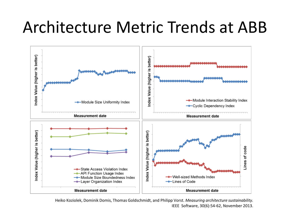## Architecture Metric Trends at ABB



Heiko Koziolek, Dominik Domis, Thomas Goldschmidt, and Philipp Vorst. *Measuring architecture sustainability.* IEEE Software, 30(6):54-62, November 2013.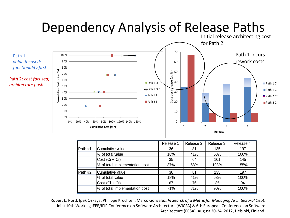#### Dependency Analysis of Release Paths



|         |                                | Release 1 | Release 2 | Release 3 | Release 4 |
|---------|--------------------------------|-----------|-----------|-----------|-----------|
| Path #1 | Cumulative value               | 36        | 81        | 135       | 197       |
|         | % of total value               | 18%       | 41%       | 68%       | 100%      |
|         | $Cost (Ci + Cr)$               | 35        | 64        | 101       | 145       |
|         | % of total implementation cost | 37%       | 68%       | 108%      | 155%      |
| Path #2 | Cumulative value               | 36        | 81        | 135       | 197       |
|         | % of total value               | 18%       | 41%       | 68%       | 100%      |
|         | $Cost (Ci + Cr)$               | 67        | 76        | 85        | 94        |
|         | % of total implementation cost | 71%       | 81%       | 90%       | 100%      |

Robert L. Nord, Ipek Ozkaya, Philippe Kruchten, Marco Gonzalez. *In Search of a Metric for Managing Architectural Debt*. Joint 10th Working IEEE/IFIP Conference on Software Architecture (WICSA) & 6th European Conference on Software Architecture (ECSA), August 20-24, 2012, Helsinki, Finland.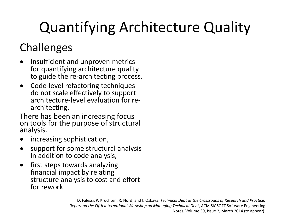# Quantifying Architecture Quality

#### **Challenges**

- Insufficient and unproven metrics for quantifying architecture quality to guide the re-architecting process.
- Code-level refactoring techniques do not scale effectively to support architecture-level evaluation for re- architecting.

There has been an increasing focus on tools for the purpose of structural analysis.

- increasing sophistication,
- support for some structural analysis in addition to code analysis,
- first steps towards analyzing financial impact by relating structure analysis to cost and effort for rework.

D. Falessi, P. Kruchten, R. Nord, and I. Ozkaya. *Technical Debt at the Crossroads of Research and Practice: Report on the Fifth International Workshop on Managing Technical Debt*, ACM SIGSOFT Software Engineering Notes, Volume 39, Issue 2, March 2014 (to appear).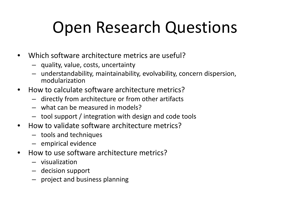# Open Research Questions

- Which software architecture metrics are useful?
	- quality, value, costs, uncertainty
	- understandability, maintainability, evolvability, concern dispersion, modularization
- How to calculate software architecture metrics?
	- directly from architecture or from other artifacts
	- what can be measured in models?
	- tool support / integration with design and code tools
- How to validate software architecture metrics?
	- tools and techniques
	- empirical evidence
- How to use software architecture metrics?
	- visualization
	- decision support
	- project and business planning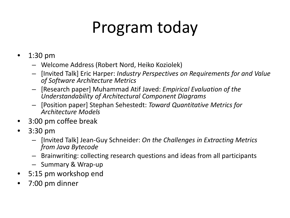# Program today

- 1:30 pm
	- Welcome Address (Robert Nord, Heiko Koziolek)
	- [Invited Talk] Eric Harper: *Industry Perspectives on Requirements for and Value of Software Architecture Metrics*
	- [Research paper] Muhammad Atif Javed: *Empirical Evaluation of the Understandability of Architectural Component Diagrams*
	- [Position paper] Stephan Sehestedt: *Toward Quantitative Metrics for Architecture Models*
- 3:00 pm coffee break
- 3:30 pm
	- [Invited Talk] Jean-Guy Schneider: *On the Challenges in Extracting Metrics from Java Bytecode*
	- Brainwriting: collecting research questions and ideas from all participants
	- Summary & Wrap-up
- 5:15 pm workshop end
- 7:00 pm dinner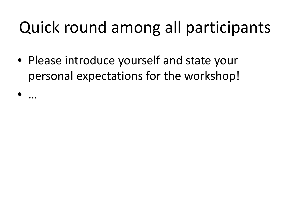# Quick round among all participants

- Please introduce yourself and state your personal expectations for the workshop!
- …